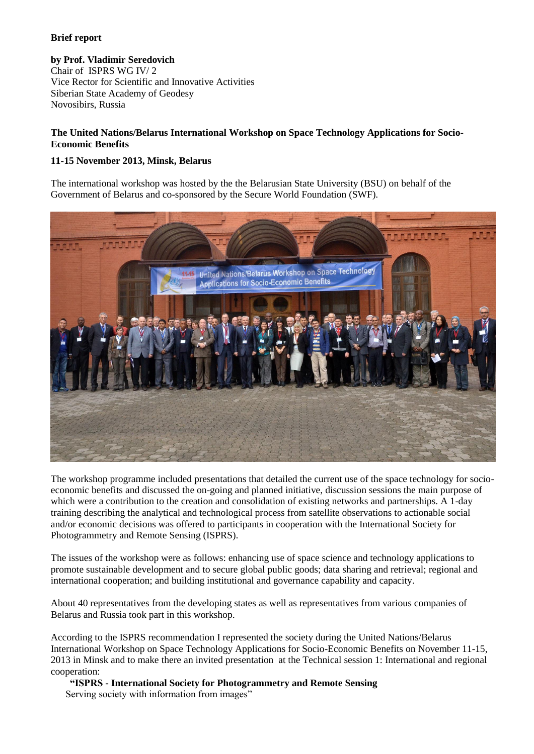## **Brief report**

**by Prof. Vladimir Seredovich** Chair of ISPRS WG IV/ 2 Vice Rector for Scientific and Innovative Activities Siberian State Academy of Geodesy Novosibirs, Russia

## **The United Nations/Belarus International Workshop on Space Technology Applications for Socio-Economic Benefits**

## **11-15 November 2013, Minsk, Belarus**

The international workshop was hosted by the the Belarusian State University (BSU) on behalf of the Government of Belarus and co-sponsored by the Secure World Foundation (SWF).



The workshop programme included presentations that detailed the current use of the space technology for socioeconomic benefits and discussed the on-going and planned initiative, discussion sessions the main purpose of which were a contribution to the creation and consolidation of existing networks and partnerships. A 1-day training describing the analytical and technological process from satellite observations to actionable social and/or economic decisions was offered to participants in cooperation with the International Society for Photogrammetry and Remote Sensing (ISPRS).

The issues of the workshop were as follows: enhancing use of space science and technology applications to promote sustainable development and to secure global public goods; data sharing and retrieval; regional and international cooperation; and building institutional and governance capability and capacity.

About 40 representatives from the developing states as well as representatives from various companies of Belarus and Russia took part in this workshop.

According to the ISPRS recommendation I represented the society during the United Nations/Belarus International Workshop on Space Technology Applications for Socio-Economic Benefits on November 11-15, 2013 in Minsk and to make there an invited presentation at the Technical session 1: International and regional cooperation:

**"ISPRS - International Society for Photogrammetry and Remote Sensing** Serving society with information from images"